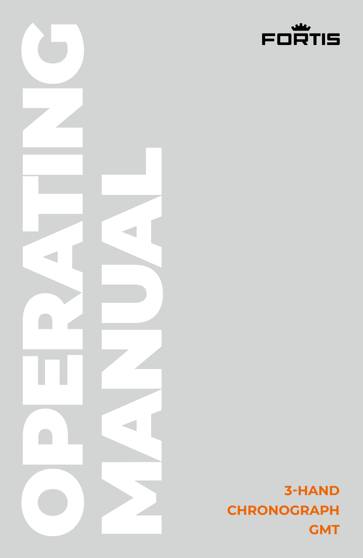

**3-HAND CHRONOGRAPH GMT**

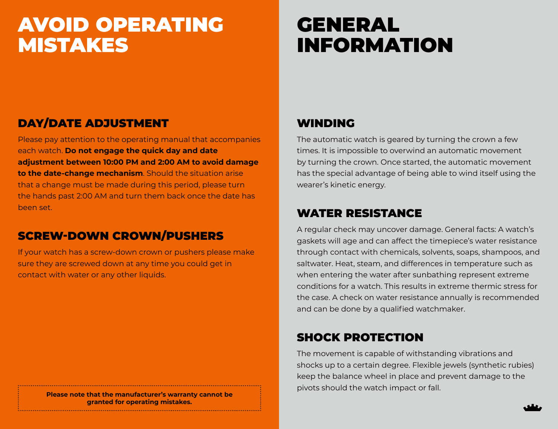# AVOID OPERATING **MISTAKES**

# **GENERAL** INFORMATION

# DAY/DATE ADJUSTMENT

Please pay attention to the operating manual that accompanies each watch. **Do not engage the quick day and date adjustment between 10:00 PM and 2:00 AM to avoid damage to the date-change mechanism**. Should the situation arise that a change must be made during this period, please turn the hands past 2:00 AM and turn them back once the date has been set.

# SCREW-DOWN CROWN/PUSHERS

If your watch has a screw-down crown or pushers please make sure they are screwed down at any time you could get in contact with water or any other liquids.

# **granted for operating mistakes.**

# WINDING

The automatic watch is geared by turning the crown a few times. It is impossible to overwind an automatic movement by turning the crown. Once started, the automatic movement has the special advantage of being able to wind itself using the wearer's kinetic energy.

## WATER RESISTANCE

A regular check may uncover damage. General facts: A watch's gaskets will age and can affect the timepiece's water resistance through contact with chemicals, solvents, soaps, shampoos, and saltwater. Heat, steam, and differences in temperature such as when entering the water after sunbathing represent extreme conditions for a watch. This results in extreme thermic stress for the case. A check on water resistance annually is recommended and can be done by a qualified watchmaker.

# SHOCK PROTECTION

The movement is capable of withstanding vibrations and shocks up to a certain degree. Flexible jewels (synthetic rubies) keep the balance wheel in place and prevent damage to the pivots should the watch impact or fall. **Please note that the manufacturer's warranty cannot be**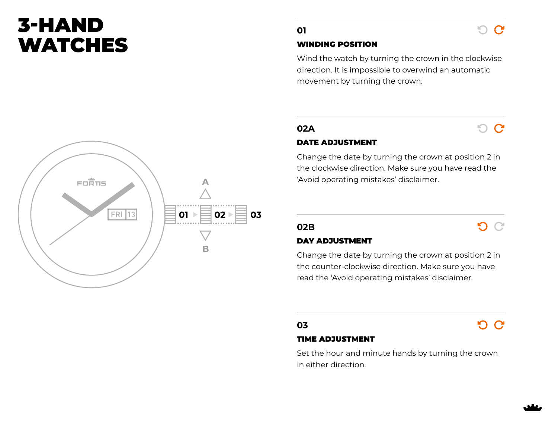# 3-HAND **WATCHES**



### WINDING POSITION

Wind the watch by turning the crown in the clockwise direction. It is impossible to overwind an automatic movement by turning the crown.

## **02A**

## െ ല

 $\Omega$   $\Omega$ 

 $O<sub>C</sub>$ 

ാ ഭ

## DATE ADJUSTMENT

Change the date by turning the crown at position 2 in the clockwise direction. Make sure you have read the 'Avoid operating mistakes' disclaimer.

## **02B**

### DAY ADJUSTMENT

Change the date by turning the crown at position 2 in the counter-clockwise direction. Make sure you have read the 'Avoid operating mistakes' disclaimer.

## **03**

## TIME ADJUSTMENT

Set the hour and minute hands by turning the crown in either direction.

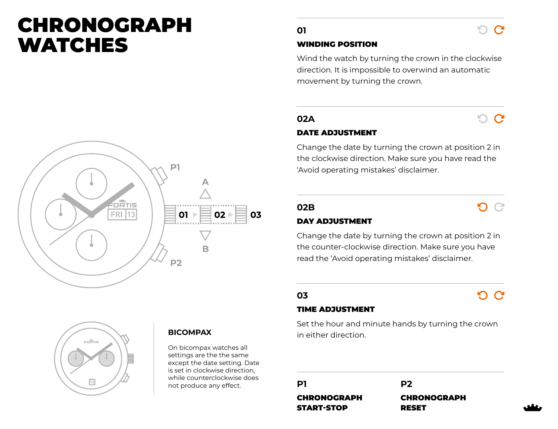# CHRONOGRAPH **WATCHES**





## **BICOMPAX**

On bicompax watches all settings are the the same except the date setting. Date is set in clockwise direction, while counterclockwise does not produce any effect.

## **01**

#### WINDING POSITION

Wind the watch by turning the crown in the clockwise direction. It is impossible to overwind an automatic movement by turning the crown.

## **02A**

# $\circ$   $\circ$

െ റ

#### DATE ADJUSTMENT

Change the date by turning the crown at position 2 in the clockwise direction. Make sure you have read the 'Avoid operating mistakes' disclaimer.

## **02B**

 $\Omega$ 

### DAY ADJUSTMENT

Change the date by turning the crown at position 2 in the counter-clockwise direction. Make sure you have read the 'Avoid operating mistakes' disclaimer.

## **03**

## <u>വെട</u>

#### TIME ADJUSTMENT

Set the hour and minute hands by turning the crown in either direction.

**P1 P2** CHRONOGRAPH START-STOP

CHRONOGRAPH RESET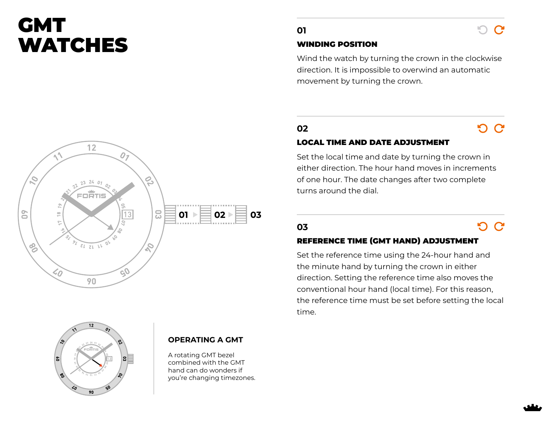# GMT **WATCHES**





## **OPERATING A GMT**

A rotating GMT bezel combined with the GMT hand can do wonders if you're changing timezones.

## **01**

### WINDING POSITION

Wind the watch by turning the crown in the clockwise direction. It is impossible to overwind an automatic movement by turning the crown.

# **02**

# <u>വ G</u>

n.  $\mathbf C$ 

## LOCAL TIME AND DATE ADJUSTMENT

Set the local time and date by turning the crown in either direction. The hour hand moves in increments of one hour. The date changes after two complete turns around the dial.

## **03**

# $O<sub>C</sub>$

### REFERENCE TIME (GMT HAND) ADJUSTMENT

Set the reference time using the 24-hour hand and the minute hand by turning the crown in either direction. Setting the reference time also moves the conventional hour hand (local time). For this reason, the reference time must be set before setting the local time.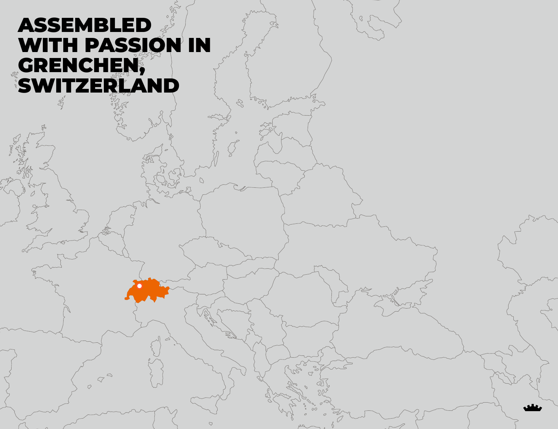